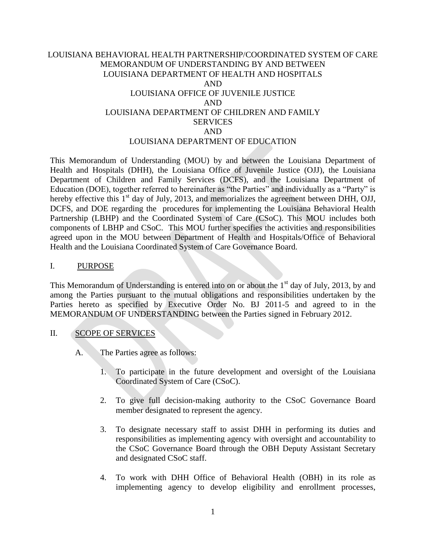# LOUISIANA BEHAVIORAL HEALTH PARTNERSHIP/COORDINATED SYSTEM OF CARE MEMORANDUM OF UNDERSTANDING BY AND BETWEEN LOUISIANA DEPARTMENT OF HEALTH AND HOSPITALS AND LOUISIANA OFFICE OF JUVENILE JUSTICE AND LOUISIANA DEPARTMENT OF CHILDREN AND FAMILY SERVICES AND LOUISIANA DEPARTMENT OF EDUCATION

This Memorandum of Understanding (MOU) by and between the Louisiana Department of Health and Hospitals (DHH), the Louisiana Office of Juvenile Justice (OJJ), the Louisiana Department of Children and Family Services (DCFS), and the Louisiana Department of Education (DOE), together referred to hereinafter as "the Parties" and individually as a "Party" is hereby effective this  $1<sup>st</sup>$  day of July, 2013, and memorializes the agreement between DHH, OJJ, DCFS, and DOE regarding the procedures for implementing the Louisiana Behavioral Health Partnership (LBHP) and the Coordinated System of Care (CSoC). This MOU includes both components of LBHP and CSoC. This MOU further specifies the activities and responsibilities agreed upon in the MOU between Department of Health and Hospitals/Office of Behavioral Health and the Louisiana Coordinated System of Care Governance Board.

#### I. PURPOSE

This Memorandum of Understanding is entered into on or about the  $1<sup>st</sup>$  day of July, 2013, by and among the Parties pursuant to the mutual obligations and responsibilities undertaken by the Parties hereto as specified by Executive Order No. BJ 2011-5 and agreed to in the MEMORANDUM OF UNDERSTANDING between the Parties signed in February 2012.

## II. SCOPE OF SERVICES

- A. The Parties agree as follows:
	- 1. To participate in the future development and oversight of the Louisiana Coordinated System of Care (CSoC).
	- 2. To give full decision-making authority to the CSoC Governance Board member designated to represent the agency.
	- 3. To designate necessary staff to assist DHH in performing its duties and responsibilities as implementing agency with oversight and accountability to the CSoC Governance Board through the OBH Deputy Assistant Secretary and designated CSoC staff.
	- 4. To work with DHH Office of Behavioral Health (OBH) in its role as implementing agency to develop eligibility and enrollment processes,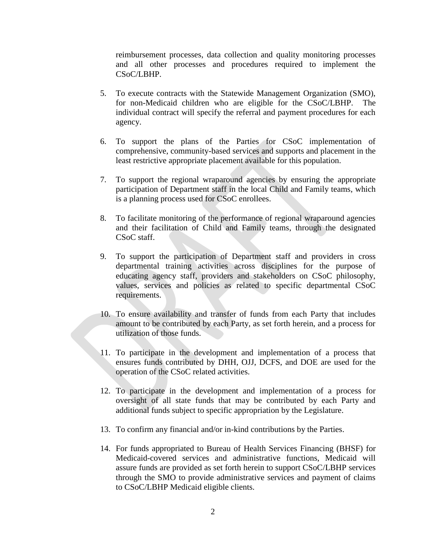reimbursement processes, data collection and quality monitoring processes and all other processes and procedures required to implement the CSoC/LBHP.

- 5. To execute contracts with the Statewide Management Organization (SMO), for non-Medicaid children who are eligible for the CSoC/LBHP. The individual contract will specify the referral and payment procedures for each agency.
- 6. To support the plans of the Parties for CSoC implementation of comprehensive, community-based services and supports and placement in the least restrictive appropriate placement available for this population.
- 7. To support the regional wraparound agencies by ensuring the appropriate participation of Department staff in the local Child and Family teams, which is a planning process used for CSoC enrollees.
- 8. To facilitate monitoring of the performance of regional wraparound agencies and their facilitation of Child and Family teams, through the designated CSoC staff.
- 9. To support the participation of Department staff and providers in cross departmental training activities across disciplines for the purpose of educating agency staff, providers and stakeholders on CSoC philosophy, values, services and policies as related to specific departmental CSoC requirements.
- 10. To ensure availability and transfer of funds from each Party that includes amount to be contributed by each Party, as set forth herein, and a process for utilization of those funds.
- 11. To participate in the development and implementation of a process that ensures funds contributed by DHH, OJJ, DCFS, and DOE are used for the operation of the CSoC related activities.
- 12. To participate in the development and implementation of a process for oversight of all state funds that may be contributed by each Party and additional funds subject to specific appropriation by the Legislature.
- 13. To confirm any financial and/or in-kind contributions by the Parties.
- 14. For funds appropriated to Bureau of Health Services Financing (BHSF) for Medicaid-covered services and administrative functions, Medicaid will assure funds are provided as set forth herein to support CSoC/LBHP services through the SMO to provide administrative services and payment of claims to CSoC/LBHP Medicaid eligible clients.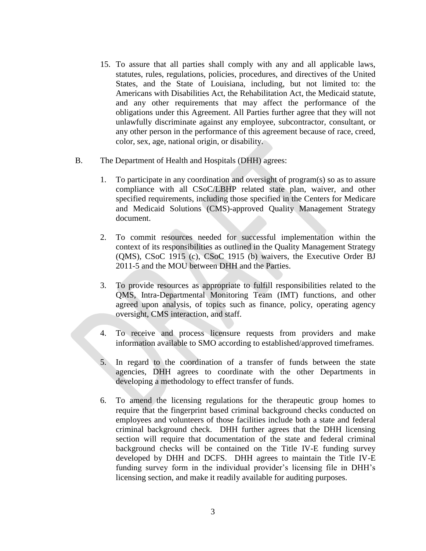- 15. To assure that all parties shall comply with any and all applicable laws, statutes, rules, regulations, policies, procedures, and directives of the United States, and the State of Louisiana, including, but not limited to: the Americans with Disabilities Act, the Rehabilitation Act, the Medicaid statute, and any other requirements that may affect the performance of the obligations under this Agreement. All Parties further agree that they will not unlawfully discriminate against any employee, subcontractor, consultant, or any other person in the performance of this agreement because of race, creed, color, sex, age, national origin, or disability.
- B. The Department of Health and Hospitals (DHH) agrees:
	- 1. To participate in any coordination and oversight of program(s) so as to assure compliance with all CSoC/LBHP related state plan, waiver, and other specified requirements, including those specified in the Centers for Medicare and Medicaid Solutions (CMS)-approved Quality Management Strategy document.
	- 2. To commit resources needed for successful implementation within the context of its responsibilities as outlined in the Quality Management Strategy (QMS), CSoC 1915 (c), CSoC 1915 (b) waivers, the Executive Order BJ 2011-5 and the MOU between DHH and the Parties.
	- 3. To provide resources as appropriate to fulfill responsibilities related to the QMS, Intra-Departmental Monitoring Team (IMT) functions, and other agreed upon analysis, of topics such as finance, policy, operating agency oversight, CMS interaction, and staff.
	- 4. To receive and process licensure requests from providers and make information available to SMO according to established/approved timeframes.
	- 5. In regard to the coordination of a transfer of funds between the state agencies, DHH agrees to coordinate with the other Departments in developing a methodology to effect transfer of funds.
	- 6. To amend the licensing regulations for the therapeutic group homes to require that the fingerprint based criminal background checks conducted on employees and volunteers of those facilities include both a state and federal criminal background check. DHH further agrees that the DHH licensing section will require that documentation of the state and federal criminal background checks will be contained on the Title IV-E funding survey developed by DHH and DCFS. DHH agrees to maintain the Title IV-E funding survey form in the individual provider's licensing file in DHH's licensing section, and make it readily available for auditing purposes.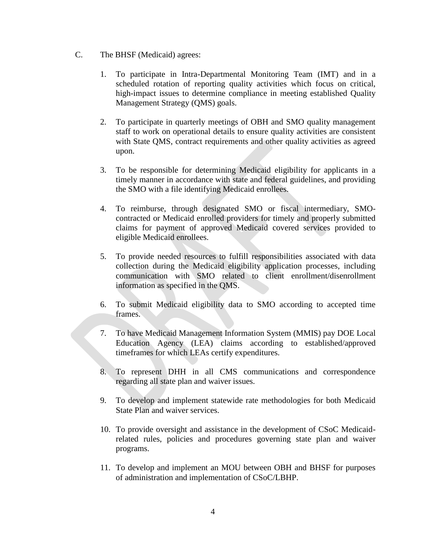- C. The BHSF (Medicaid) agrees:
	- 1. To participate in Intra-Departmental Monitoring Team (IMT) and in a scheduled rotation of reporting quality activities which focus on critical, high-impact issues to determine compliance in meeting established Quality Management Strategy (QMS) goals.
	- 2. To participate in quarterly meetings of OBH and SMO quality management staff to work on operational details to ensure quality activities are consistent with State QMS, contract requirements and other quality activities as agreed upon.
	- 3. To be responsible for determining Medicaid eligibility for applicants in a timely manner in accordance with state and federal guidelines, and providing the SMO with a file identifying Medicaid enrollees.
	- 4. To reimburse, through designated SMO or fiscal intermediary, SMOcontracted or Medicaid enrolled providers for timely and properly submitted claims for payment of approved Medicaid covered services provided to eligible Medicaid enrollees.
	- 5. To provide needed resources to fulfill responsibilities associated with data collection during the Medicaid eligibility application processes, including communication with SMO related to client enrollment/disenrollment information as specified in the QMS.
	- 6. To submit Medicaid eligibility data to SMO according to accepted time frames.
	- 7. To have Medicaid Management Information System (MMIS) pay DOE Local Education Agency (LEA) claims according to established/approved timeframes for which LEAs certify expenditures.
	- 8. To represent DHH in all CMS communications and correspondence regarding all state plan and waiver issues.
	- 9. To develop and implement statewide rate methodologies for both Medicaid State Plan and waiver services.
	- 10. To provide oversight and assistance in the development of CSoC Medicaidrelated rules, policies and procedures governing state plan and waiver programs.
	- 11. To develop and implement an MOU between OBH and BHSF for purposes of administration and implementation of CSoC/LBHP.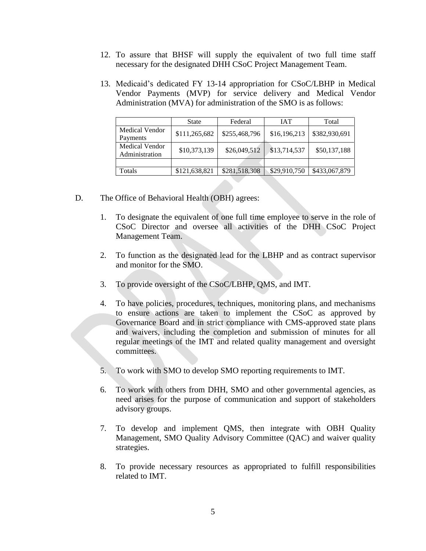- 12. To assure that BHSF will supply the equivalent of two full time staff necessary for the designated DHH CSoC Project Management Team.
- 13. Medicaid's dedicated FY 13-14 appropriation for CSoC/LBHP in Medical Vendor Payments (MVP) for service delivery and Medical Vendor Administration (MVA) for administration of the SMO is as follows:

|                                  | <b>State</b>  | Federal       | <b>IAT</b>   | Total         |
|----------------------------------|---------------|---------------|--------------|---------------|
| Medical Vendor<br>Payments       | \$111,265,682 | \$255,468,796 | \$16,196,213 | \$382,930,691 |
| Medical Vendor<br>Administration | \$10,373,139  | \$26,049,512  | \$13,714,537 | \$50,137,188  |
|                                  |               |               |              |               |
| Totals                           | \$121,638,821 | \$281,518,308 | \$29,910,750 | \$433,067,879 |

- D. The Office of Behavioral Health (OBH) agrees:
	- 1. To designate the equivalent of one full time employee to serve in the role of CSoC Director and oversee all activities of the DHH CSoC Project Management Team.
	- 2. To function as the designated lead for the LBHP and as contract supervisor and monitor for the SMO.
	- 3. To provide oversight of the CSoC/LBHP, QMS, and IMT.
	- 4. To have policies, procedures, techniques, monitoring plans, and mechanisms to ensure actions are taken to implement the CSoC as approved by Governance Board and in strict compliance with CMS-approved state plans and waivers, including the completion and submission of minutes for all regular meetings of the IMT and related quality management and oversight committees.
	- 5. To work with SMO to develop SMO reporting requirements to IMT.
	- 6. To work with others from DHH, SMO and other governmental agencies, as need arises for the purpose of communication and support of stakeholders advisory groups.
	- 7. To develop and implement QMS, then integrate with OBH Quality Management, SMO Quality Advisory Committee (QAC) and waiver quality strategies.
	- 8. To provide necessary resources as appropriated to fulfill responsibilities related to IMT.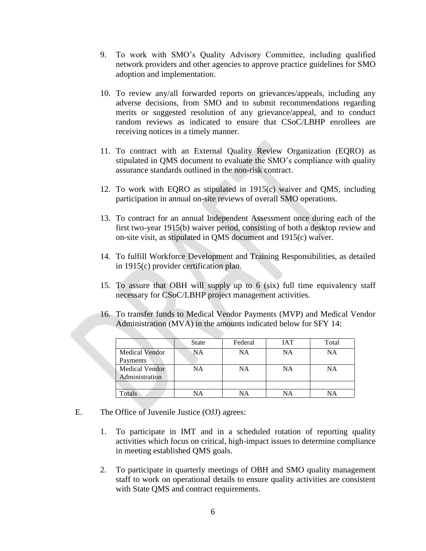- 9. To work with SMO's Quality Advisory Committee, including qualified network providers and other agencies to approve practice guidelines for SMO adoption and implementation.
- 10. To review any/all forwarded reports on grievances/appeals, including any adverse decisions, from SMO and to submit recommendations regarding merits or suggested resolution of any grievance/appeal, and to conduct random reviews as indicated to ensure that CSoC/LBHP enrollees are receiving notices in a timely manner.
- 11. To contract with an External Quality Review Organization (EQRO) as stipulated in QMS document to evaluate the SMO's compliance with quality assurance standards outlined in the non-risk contract.
- 12. To work with EQRO as stipulated in 1915(c) waiver and QMS, including participation in annual on-site reviews of overall SMO operations.
- 13. To contract for an annual Independent Assessment once during each of the first two-year 1915(b) waiver period, consisting of both a desktop review and on-site visit, as stipulated in QMS document and 1915(c) waiver.
- 14. To fulfill Workforce Development and Training Responsibilities, as detailed in 1915(c) provider certification plan.
- 15. To assure that OBH will supply up to 6 (six) full time equivalency staff necessary for CSoC/LBHP project management activities.
- 16. To transfer funds to Medical Vendor Payments (MVP) and Medical Vendor Administration (MVA) in the amounts indicated below for SFY 14:

|                       | <b>State</b> | Federal   | <b>IAT</b> | Total |
|-----------------------|--------------|-----------|------------|-------|
| <b>Medical Vendor</b> | <b>NA</b>    | NA        | <b>NA</b>  | NA    |
| Payments              |              |           |            |       |
| <b>Medical Vendor</b> | NA           | <b>NA</b> | NA         | NA    |
| Administration        |              |           |            |       |
|                       |              |           |            |       |
| <b>Totals</b>         | VА           | NA        | NA         |       |

- E. The Office of Juvenile Justice (OJJ) agrees:
	- 1. To participate in IMT and in a scheduled rotation of reporting quality activities which focus on critical, high-impact issues to determine compliance in meeting established QMS goals.
	- 2. To participate in quarterly meetings of OBH and SMO quality management staff to work on operational details to ensure quality activities are consistent with State QMS and contract requirements.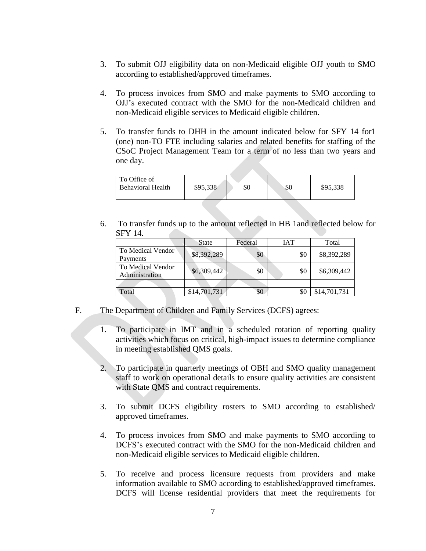- 3. To submit OJJ eligibility data on non-Medicaid eligible OJJ youth to SMO according to established/approved timeframes.
- 4. To process invoices from SMO and make payments to SMO according to OJJ's executed contract with the SMO for the non-Medicaid children and non-Medicaid eligible services to Medicaid eligible children.
- 5. To transfer funds to DHH in the amount indicated below for SFY 14 for1 (one) non-TO FTE including salaries and related benefits for staffing of the CSoC Project Management Team for a term of no less than two years and one day.

| l To Office of           |          |     |     |          |
|--------------------------|----------|-----|-----|----------|
|                          |          |     |     |          |
| <b>Behavioral Health</b> | \$95,338 | \$0 | \$0 | \$95,338 |
|                          |          |     |     |          |
|                          |          |     |     |          |

6. To transfer funds up to the amount reflected in HB 1and reflected below for SFY 14.

|                                     | State        | Federal | IAT | Total        |
|-------------------------------------|--------------|---------|-----|--------------|
| To Medical Vendor<br>Payments       | \$8,392,289  | \$0     | \$0 | \$8,392,289  |
| To Medical Vendor<br>Administration | \$6,309,442  | \$0     | \$0 | \$6,309,442  |
|                                     |              |         |     |              |
| Total                               | \$14,701,731 | \$0     | \$( | \$14,701,731 |

- F. The Department of Children and Family Services (DCFS) agrees:
	- 1. To participate in IMT and in a scheduled rotation of reporting quality activities which focus on critical, high-impact issues to determine compliance in meeting established QMS goals.
	- 2. To participate in quarterly meetings of OBH and SMO quality management staff to work on operational details to ensure quality activities are consistent with State OMS and contract requirements.
	- 3. To submit DCFS eligibility rosters to SMO according to established/ approved timeframes.
	- 4. To process invoices from SMO and make payments to SMO according to DCFS's executed contract with the SMO for the non-Medicaid children and non-Medicaid eligible services to Medicaid eligible children.
	- 5. To receive and process licensure requests from providers and make information available to SMO according to established/approved timeframes. DCFS will license residential providers that meet the requirements for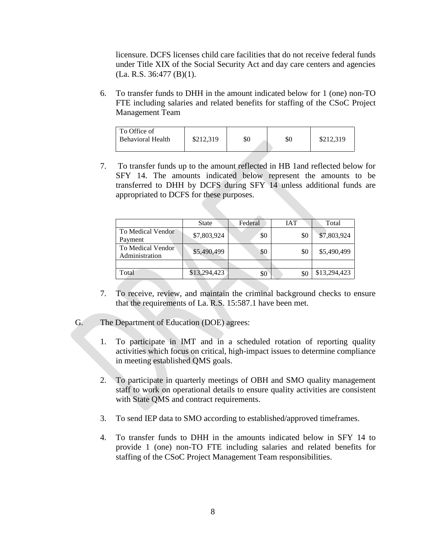licensure. DCFS licenses child care facilities that do not receive federal funds under Title XIX of the Social Security Act and day care centers and agencies (La. R.S. 36:477 (B)(1).

6. To transfer funds to DHH in the amount indicated below for 1 (one) non-TO FTE including salaries and related benefits for staffing of the CSoC Project Management Team

| To Office of<br><b>Behavioral Health</b> | \$212,319 | \$0 | \$0 | \$212,319 |
|------------------------------------------|-----------|-----|-----|-----------|
|------------------------------------------|-----------|-----|-----|-----------|

7. To transfer funds up to the amount reflected in HB 1and reflected below for SFY 14. The amounts indicated below represent the amounts to be transferred to DHH by DCFS during SFY 14 unless additional funds are appropriated to DCFS for these purposes.

|                                     | <b>State</b> | Federal | <b>IAT</b> | Total        |
|-------------------------------------|--------------|---------|------------|--------------|
| To Medical Vendor<br>Payment        | \$7,803,924  | \$0     | \$0        | \$7,803,924  |
| To Medical Vendor<br>Administration | \$5,490,499  | \$0     | \$0        | \$5,490,499  |
|                                     |              |         |            |              |
| Total                               | \$13,294,423 | \$0     |            | \$13,294,423 |

- 7. To receive, review, and maintain the criminal background checks to ensure that the requirements of La. R.S. 15:587.1 have been met.
- G. The Department of Education (DOE) agrees:
	- 1. To participate in IMT and in a scheduled rotation of reporting quality activities which focus on critical, high-impact issues to determine compliance in meeting established QMS goals.
	- 2. To participate in quarterly meetings of OBH and SMO quality management staff to work on operational details to ensure quality activities are consistent with State QMS and contract requirements.
	- 3. To send IEP data to SMO according to established/approved timeframes.
	- 4. To transfer funds to DHH in the amounts indicated below in SFY 14 to provide 1 (one) non-TO FTE including salaries and related benefits for staffing of the CSoC Project Management Team responsibilities.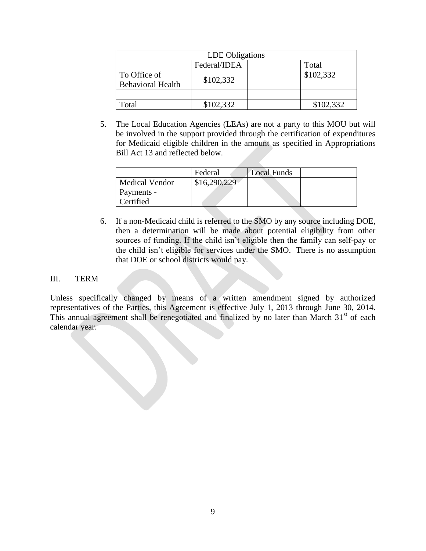| LDE Obligations                                       |           |  |           |  |
|-------------------------------------------------------|-----------|--|-----------|--|
| Federal/IDEA<br>Total                                 |           |  |           |  |
| To Office of<br>\$102,332<br><b>Behavioral Health</b> |           |  | \$102,332 |  |
|                                                       |           |  |           |  |
| Total                                                 | \$102,332 |  | \$102,332 |  |

5. The Local Education Agencies (LEAs) are not a party to this MOU but will be involved in the support provided through the certification of expenditures for Medicaid eligible children in the amount as specified in Appropriations Bill Act 13 and reflected below.

|                       | Federal      | <b>Local Funds</b> |  |
|-----------------------|--------------|--------------------|--|
| <b>Medical Vendor</b> | \$16,290,229 |                    |  |
| Payments -            |              |                    |  |
| Certified             |              |                    |  |

6. If a non-Medicaid child is referred to the SMO by any source including DOE, then a determination will be made about potential eligibility from other sources of funding. If the child isn't eligible then the family can self-pay or the child isn't eligible for services under the SMO. There is no assumption that DOE or school districts would pay.

## III. TERM

Unless specifically changed by means of a written amendment signed by authorized representatives of the Parties, this Agreement is effective July 1, 2013 through June 30, 2014. This annual agreement shall be renegotiated and finalized by no later than March  $31<sup>st</sup>$  of each calendar year.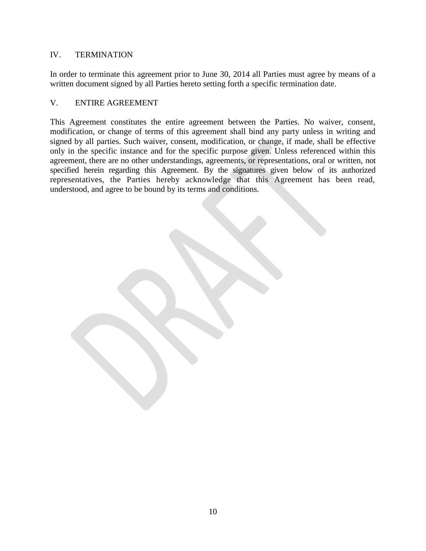# IV. TERMINATION

In order to terminate this agreement prior to June 30, 2014 all Parties must agree by means of a written document signed by all Parties hereto setting forth a specific termination date.

## V. ENTIRE AGREEMENT

This Agreement constitutes the entire agreement between the Parties. No waiver, consent, modification, or change of terms of this agreement shall bind any party unless in writing and signed by all parties. Such waiver, consent, modification, or change, if made, shall be effective only in the specific instance and for the specific purpose given. Unless referenced within this agreement, there are no other understandings, agreements, or representations, oral or written, not specified herein regarding this Agreement. By the signatures given below of its authorized representatives, the Parties hereby acknowledge that this Agreement has been read, understood, and agree to be bound by its terms and conditions.